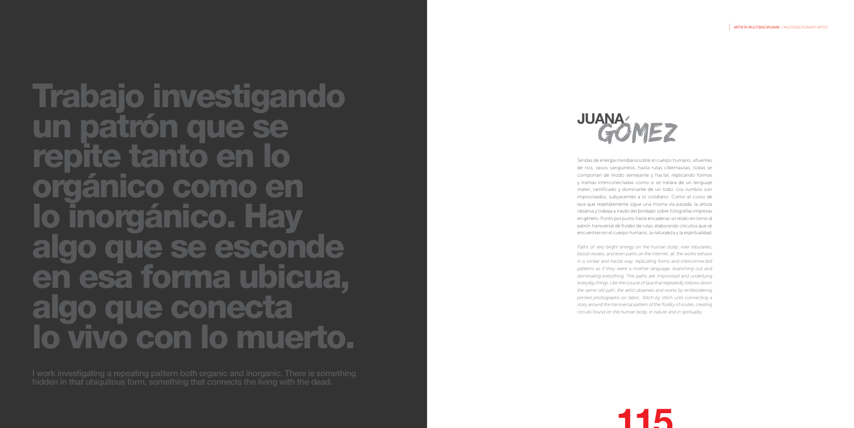

*Paths of very bright energy on the human body, river tributaries, blood vessels, and even paths on the internet; all the works behave in a similar and fractal way, replicating forms and interconnected patterns as if they were a mother language, branching out and dominating everything. The paths are improvised and underlying everyday things. Like the course of lava that repeatedly follows down the same old path, the artist observes and works by embroidering printed photographs on fabric. Stitch by stitch until connecting a story around the transversal pattern of the fluidity of routes, creating circuits found on the human body, in nature and in spirituality.*

## JUANA GóMEZ

Sendas de energía meridiana sobre el cuerpo humano, afluentes de ríos, vasos sanguíneos, hasta rutas cibernautas; todas se comportan de modo semejante y fractal, replicando formas y tramas interconectadas como si se tratara de un lenguaje *mater*, ramificado y dominante de un todo. Los rumbos son improvisados, subyacentes a lo cotidiano. Como el curso de lava que repetidamente sigue una misma vía pasada, la artista observa y trabaja a través del bordado sobre fotografías impresas en género. Punto por punto hasta encadenar un relato en torno al patrón transversal de fluidez de rutas, elaborando circuitos que se encuentran en el cuerpo humano, la naturaleza y la espiritualidad.

Trabajo investigando un patrón que se repite tanto en lo orgánico como en lo inorgánico. Hay algo que se esconde en esa forma ubicua, o que conecta lo vivo con lo muerto.

hidden in that ubiquitous form, something that connects the living with the dead.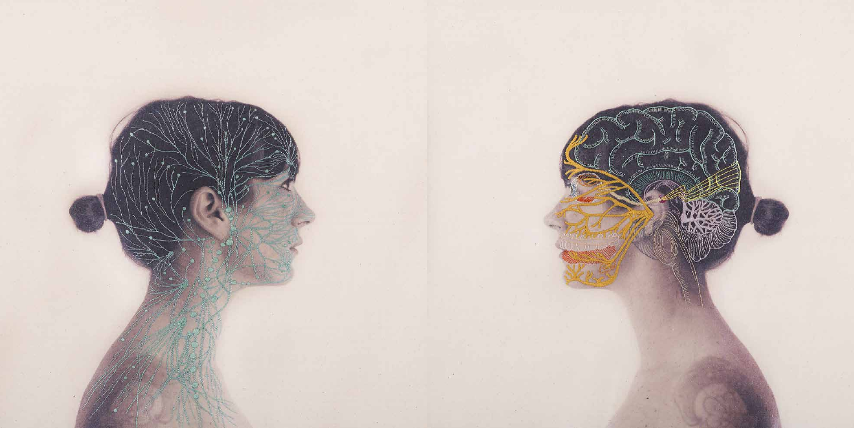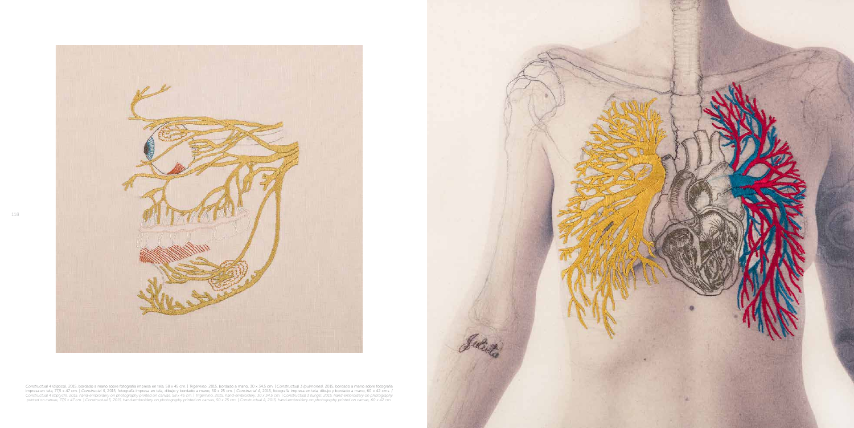

Constructual 4 (diptico), 2015, bordado a mano sobre fotografía impresa en tela, 58 x 45 cm. | Trigémino, 2015, bordado a mano, 30 x 34,5 cm. | Constructual 3 (pulmones), 2015, bordado a mano sobre fotografía<br>impresa en te